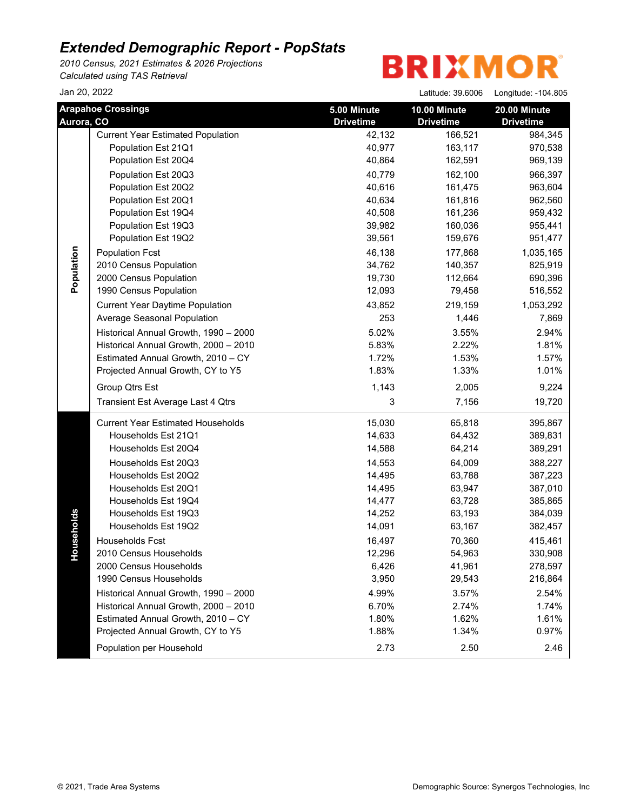*2010 Census, 2021 Estimates & 2026 Projections Calculated using TAS Retrieval*

| Jan 20, 2022 |                                          |                                 | Latitude: 39.6006                | Longitude: -104.805              |
|--------------|------------------------------------------|---------------------------------|----------------------------------|----------------------------------|
| Aurora, CO   | <b>Arapahoe Crossings</b>                | 5.00 Minute<br><b>Drivetime</b> | 10.00 Minute<br><b>Drivetime</b> | 20.00 Minute<br><b>Drivetime</b> |
|              | <b>Current Year Estimated Population</b> | 42,132                          | 166,521                          | 984,345                          |
|              | Population Est 21Q1                      | 40,977                          | 163,117                          | 970,538                          |
|              | Population Est 20Q4                      | 40,864                          | 162,591                          | 969,139                          |
|              | Population Est 20Q3                      | 40,779                          | 162,100                          | 966,397                          |
|              | Population Est 20Q2                      | 40,616                          | 161,475                          | 963,604                          |
|              | Population Est 20Q1                      | 40,634                          | 161,816                          | 962,560                          |
|              | Population Est 19Q4                      | 40,508                          | 161,236                          | 959,432                          |
|              | Population Est 19Q3                      | 39,982                          | 160,036                          | 955,441                          |
|              | Population Est 19Q2                      | 39,561                          | 159,676                          | 951,477                          |
|              | <b>Population Fcst</b>                   | 46,138                          | 177,868                          | 1,035,165                        |
| Population   | 2010 Census Population                   | 34,762                          | 140,357                          | 825,919                          |
|              | 2000 Census Population                   | 19,730                          | 112,664                          | 690,396                          |
|              | 1990 Census Population                   | 12,093                          | 79,458                           | 516,552                          |
|              | <b>Current Year Daytime Population</b>   | 43,852                          | 219,159                          | 1,053,292                        |
|              | Average Seasonal Population              | 253                             | 1,446                            | 7,869                            |
|              | Historical Annual Growth, 1990 - 2000    | 5.02%                           | 3.55%                            | 2.94%                            |
|              | Historical Annual Growth, 2000 - 2010    | 5.83%                           | 2.22%                            | 1.81%                            |
|              | Estimated Annual Growth, 2010 - CY       | 1.72%                           | 1.53%                            | 1.57%                            |
|              | Projected Annual Growth, CY to Y5        | 1.83%                           | 1.33%                            | 1.01%                            |
|              | Group Qtrs Est                           | 1,143                           | 2,005                            | 9,224                            |
|              | Transient Est Average Last 4 Qtrs        | 3                               | 7,156                            | 19,720                           |
|              | <b>Current Year Estimated Households</b> | 15,030                          | 65,818                           | 395,867                          |
|              | Households Est 21Q1                      | 14,633                          | 64,432                           | 389,831                          |
|              | Households Est 20Q4                      | 14,588                          | 64,214                           | 389,291                          |
|              | Households Est 20Q3                      | 14,553                          | 64,009                           | 388,227                          |
|              | Households Est 20Q2                      | 14,495                          | 63,788                           | 387,223                          |
|              | Households Est 20Q1                      | 14,495                          | 63,947                           | 387,010                          |
|              | Households Est 19Q4                      | 14,477                          | 63,728                           | 385,865                          |
| useholds     | Households Est 19Q3                      | 14,252                          | 63,193                           | 384,039                          |
|              | Households Est 19Q2                      | 14,091                          | 63,167                           | 382,457                          |
|              | <b>Households Fcst</b>                   | 16,497                          | 70,360                           | 415,461                          |
| 오            | 2010 Census Households                   | 12,296                          | 54,963                           | 330,908                          |
|              | 2000 Census Households                   | 6,426                           | 41,961                           | 278,597                          |
|              | 1990 Census Households                   | 3,950                           | 29,543                           | 216,864                          |
|              | Historical Annual Growth, 1990 - 2000    | 4.99%                           | 3.57%                            | 2.54%                            |
|              | Historical Annual Growth, 2000 - 2010    | 6.70%                           | 2.74%                            | 1.74%                            |
|              | Estimated Annual Growth, 2010 - CY       | 1.80%                           | 1.62%                            | 1.61%                            |
|              | Projected Annual Growth, CY to Y5        | 1.88%                           | 1.34%                            | 0.97%                            |
|              | Population per Household                 | 2.73                            | 2.50                             | 2.46                             |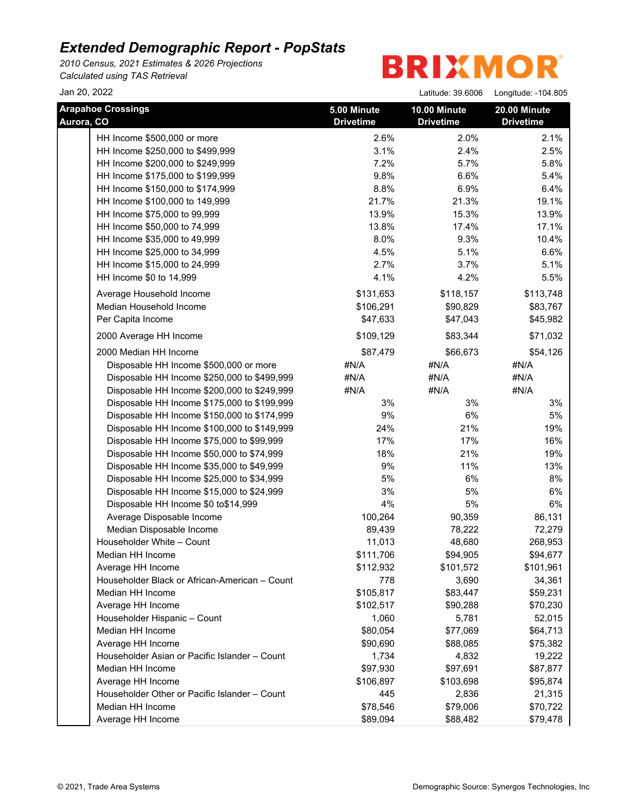*2010 Census, 2021 Estimates & 2026 Projections Calculated using TAS Retrieval*

**BRIXMOR** 

Jan 20, 2022 Latitude: 39.6006 Longitude: -104.805

| <b>Arapahoe Crossings</b><br>Aurora, CO               | 5.00 Minute<br><b>Drivetime</b> | 10.00 Minute<br><b>Drivetime</b> | 20.00 Minute<br><b>Drivetime</b> |
|-------------------------------------------------------|---------------------------------|----------------------------------|----------------------------------|
| HH Income \$500,000 or more                           | 2.6%                            | 2.0%                             | 2.1%                             |
| HH Income \$250,000 to \$499,999                      | 3.1%                            | 2.4%                             | 2.5%                             |
| HH Income \$200,000 to \$249,999                      | 7.2%                            | 5.7%                             | 5.8%                             |
| HH Income \$175,000 to \$199,999                      | 9.8%                            | 6.6%                             | 5.4%                             |
| HH Income \$150,000 to \$174,999                      | 8.8%                            | 6.9%                             | 6.4%                             |
| HH Income \$100,000 to 149,999                        | 21.7%                           | 21.3%                            | 19.1%                            |
| HH Income \$75,000 to 99,999                          | 13.9%                           | 15.3%                            | 13.9%                            |
| HH Income \$50,000 to 74,999                          | 13.8%                           | 17.4%                            | 17.1%                            |
| HH Income \$35,000 to 49,999                          | 8.0%                            | 9.3%                             | 10.4%                            |
| HH Income \$25,000 to 34,999                          | 4.5%                            | 5.1%                             | 6.6%                             |
| HH Income \$15,000 to 24,999                          | 2.7%                            | 3.7%                             | 5.1%                             |
| HH Income \$0 to 14,999                               | 4.1%                            | 4.2%                             | 5.5%                             |
| Average Household Income                              | \$131,653                       | \$118,157                        | \$113,748                        |
| Median Household Income                               | \$106,291                       | \$90,829                         | \$83,767                         |
| Per Capita Income                                     | \$47,633                        | \$47,043                         | \$45,982                         |
| 2000 Average HH Income                                | \$109,129                       | \$83,344                         | \$71,032                         |
| 2000 Median HH Income                                 | \$87,479                        | \$66,673                         | \$54,126                         |
| Disposable HH Income \$500,000 or more                | #N/A                            | #N/A                             | #N/A                             |
| Disposable HH Income \$250,000 to \$499,999           | #N/A                            | #N/A                             | #N/A                             |
| Disposable HH Income \$200,000 to \$249,999           | #N/A                            | #N/A                             | #N/A                             |
| Disposable HH Income \$175,000 to \$199,999           | 3%                              | 3%                               | 3%                               |
| Disposable HH Income \$150,000 to \$174,999           | 9%                              | 6%                               | 5%                               |
| Disposable HH Income \$100,000 to \$149,999           | 24%                             | 21%                              | 19%                              |
| Disposable HH Income \$75,000 to \$99,999             | 17%                             | 17%                              | 16%                              |
| Disposable HH Income \$50,000 to \$74,999             | 18%                             | 21%                              | 19%                              |
| Disposable HH Income \$35,000 to \$49,999             | 9%                              | 11%                              | 13%                              |
| Disposable HH Income \$25,000 to \$34,999             | 5%                              | $6\%$                            | $8%$                             |
| Disposable HH Income \$15,000 to \$24,999             | 3%<br>4%                        | 5%<br>5%                         | 6%<br>6%                         |
| Disposable HH Income \$0 to\$14,999                   | 100,264                         |                                  |                                  |
| Average Disposable Income                             | 89,439                          | 90,359<br>78,222                 | 86,131                           |
| Median Disposable Income<br>Householder White - Count | 11,013                          | 48,680                           | 72,279<br>268,953                |
| Median HH Income                                      | \$111,706                       | \$94,905                         | \$94,677                         |
| Average HH Income                                     | \$112,932                       | \$101,572                        | \$101,961                        |
| Householder Black or African-American - Count         | 778                             | 3,690                            | 34,361                           |
| Median HH Income                                      | \$105,817                       | \$83,447                         | \$59,231                         |
| Average HH Income                                     | \$102,517                       | \$90,288                         | \$70,230                         |
| Householder Hispanic - Count                          | 1,060                           | 5,781                            | 52,015                           |
| Median HH Income                                      | \$80,054                        | \$77,069                         | \$64,713                         |
| Average HH Income                                     | \$90,690                        | \$88,085                         | \$75,382                         |
| Householder Asian or Pacific Islander - Count         | 1,734                           | 4,832                            | 19,222                           |
| Median HH Income                                      | \$97,930                        | \$97,691                         | \$87,877                         |
| Average HH Income                                     | \$106,897                       | \$103,698                        | \$95,874                         |
| Householder Other or Pacific Islander - Count         | 445                             | 2,836                            | 21,315                           |
| Median HH Income                                      | \$78,546                        | \$79,006                         | \$70,722                         |
| Average HH Income                                     | \$89,094                        | \$88,482                         | \$79,478                         |
|                                                       |                                 |                                  |                                  |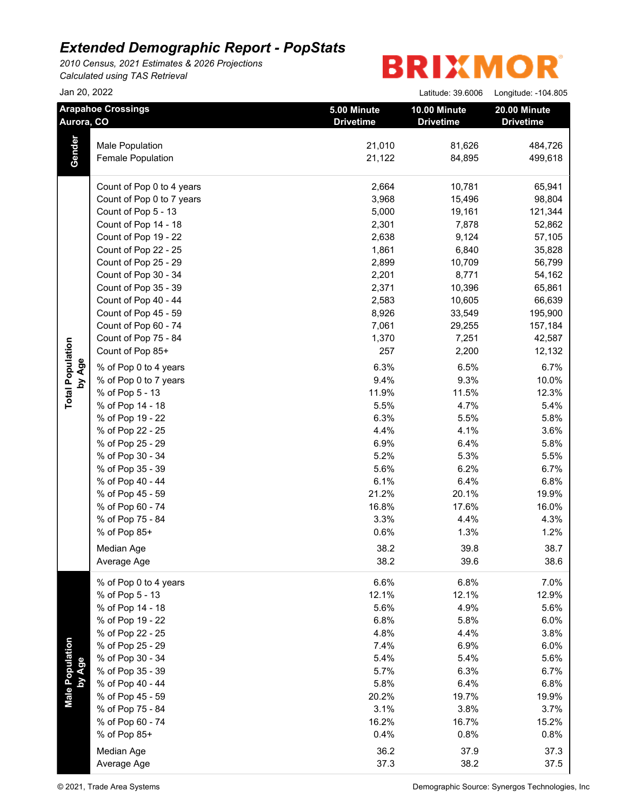*2010 Census, 2021 Estimates & 2026 Projections Calculated using TAS Retrieval*

| Jan 20, 2022<br><b>Arapahoe Crossings</b><br>Aurora, CO |                           |                                 | Latitude: 39.6006<br>10.00 Minute<br><b>Drivetime</b> | Longitude: -104.805              |
|---------------------------------------------------------|---------------------------|---------------------------------|-------------------------------------------------------|----------------------------------|
|                                                         |                           | 5.00 Minute<br><b>Drivetime</b> |                                                       | 20.00 Minute<br><b>Drivetime</b> |
|                                                         | Male Population           | 21,010                          | 81,626                                                | 484,726                          |
| Gender                                                  | Female Population         | 21,122                          | 84,895                                                | 499,618                          |
|                                                         | Count of Pop 0 to 4 years | 2,664                           | 10,781                                                | 65,941                           |
|                                                         | Count of Pop 0 to 7 years | 3,968                           | 15,496                                                | 98,804                           |
|                                                         | Count of Pop 5 - 13       | 5,000                           | 19,161                                                | 121,344                          |
|                                                         | Count of Pop 14 - 18      | 2,301                           | 7,878                                                 | 52,862                           |
|                                                         | Count of Pop 19 - 22      | 2,638                           | 9,124                                                 | 57,105                           |
|                                                         | Count of Pop 22 - 25      | 1,861                           | 6,840                                                 | 35,828                           |
|                                                         | Count of Pop 25 - 29      | 2,899                           | 10,709                                                | 56,799                           |
|                                                         | Count of Pop 30 - 34      | 2,201                           | 8,771                                                 | 54,162                           |
|                                                         | Count of Pop 35 - 39      | 2,371                           | 10,396                                                | 65,861                           |
|                                                         | Count of Pop 40 - 44      | 2,583                           | 10,605                                                | 66,639                           |
|                                                         | Count of Pop 45 - 59      | 8,926                           | 33,549                                                | 195,900                          |
|                                                         | Count of Pop 60 - 74      | 7,061                           | 29,255                                                | 157,184                          |
|                                                         | Count of Pop 75 - 84      | 1,370                           | 7,251                                                 | 42,587                           |
|                                                         | Count of Pop 85+          | 257                             | 2,200                                                 | 12,132                           |
| by Age                                                  | % of Pop 0 to 4 years     | 6.3%                            | 6.5%                                                  | 6.7%                             |
|                                                         | % of Pop 0 to 7 years     | 9.4%                            | 9.3%                                                  | 10.0%                            |
|                                                         | % of Pop 5 - 13           | 11.9%                           | 11.5%                                                 | 12.3%                            |
|                                                         | % of Pop 14 - 18          | 5.5%                            | 4.7%                                                  | 5.4%                             |
|                                                         | % of Pop 19 - 22          | 6.3%                            | 5.5%                                                  | 5.8%                             |
|                                                         | % of Pop 22 - 25          | 4.4%                            | 4.1%                                                  | 3.6%                             |
|                                                         | % of Pop 25 - 29          | 6.9%                            | 6.4%                                                  | 5.8%                             |
|                                                         | % of Pop 30 - 34          | 5.2%                            | 5.3%                                                  | 5.5%                             |
|                                                         | % of Pop 35 - 39          | 5.6%                            | 6.2%                                                  | 6.7%                             |
|                                                         | % of Pop 40 - 44          | 6.1%                            | 6.4%                                                  | 6.8%                             |
|                                                         | % of Pop 45 - 59          | 21.2%                           | 20.1%                                                 | 19.9%                            |
|                                                         | % of Pop 60 - 74          | 16.8%                           | 17.6%                                                 | 16.0%                            |
|                                                         | % of Pop 75 - 84          | 3.3%                            | 4.4%                                                  | 4.3%                             |
|                                                         | % of Pop 85+              | 0.6%                            | 1.3%                                                  | 1.2%                             |
|                                                         | Median Age                | 38.2                            | 39.8                                                  | 38.7                             |
|                                                         | Average Age               | 38.2                            | 39.6                                                  | 38.6                             |
|                                                         | % of Pop 0 to 4 years     | 6.6%                            | 6.8%                                                  | 7.0%                             |
|                                                         | % of Pop 5 - 13           | 12.1%                           | 12.1%                                                 | 12.9%                            |
|                                                         | % of Pop 14 - 18          | 5.6%                            | 4.9%                                                  | 5.6%                             |
|                                                         | % of Pop 19 - 22          | 6.8%                            | 5.8%                                                  | 6.0%                             |
|                                                         | % of Pop 22 - 25          | 4.8%                            | 4.4%                                                  | 3.8%                             |
|                                                         | % of Pop 25 - 29          | 7.4%                            | 6.9%                                                  | 6.0%                             |
|                                                         | % of Pop 30 - 34          | 5.4%                            | 5.4%                                                  | 5.6%                             |
|                                                         | % of Pop 35 - 39          | 5.7%                            | 6.3%                                                  | 6.7%                             |
|                                                         | % of Pop 40 - 44          | 5.8%                            | 6.4%                                                  | 6.8%                             |
| Male Population<br>by Age                               | % of Pop 45 - 59          | 20.2%                           | 19.7%                                                 | 19.9%                            |
|                                                         | % of Pop 75 - 84          | 3.1%                            | 3.8%                                                  | 3.7%                             |
|                                                         | % of Pop 60 - 74          | 16.2%                           | 16.7%                                                 | 15.2%                            |
|                                                         | % of Pop 85+              | 0.4%                            | 0.8%                                                  | 0.8%                             |
|                                                         | Median Age                | 36.2                            | 37.9                                                  | 37.3                             |
|                                                         | Average Age               | 37.3                            | 38.2                                                  | 37.5                             |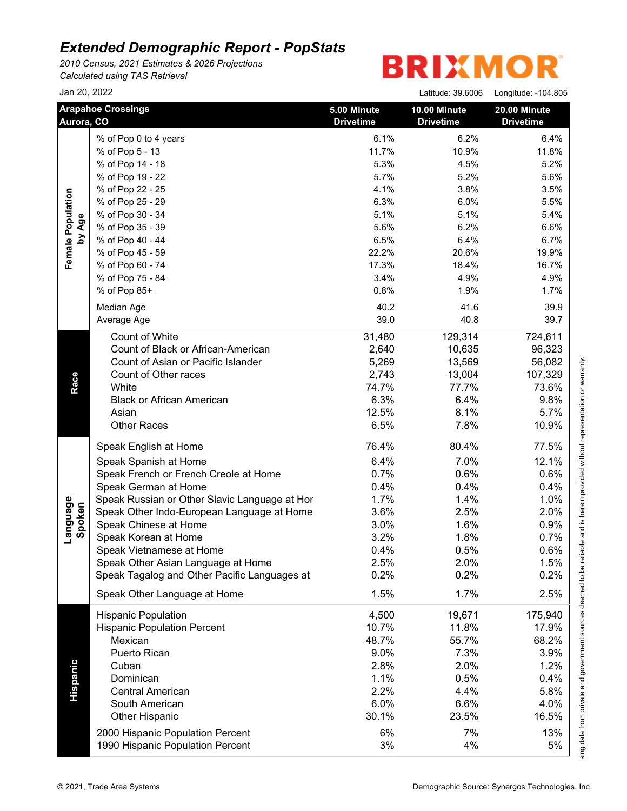*2010 Census, 2021 Estimates & 2026 Projections Calculated using TAS Retrieval*

|                             | Jan 20, 2022                                  |                                 | Latitude: 39.6006                | Longitude: -104.805              |
|-----------------------------|-----------------------------------------------|---------------------------------|----------------------------------|----------------------------------|
|                             | <b>Arapahoe Crossings</b><br>Aurora, CO       | 5.00 Minute<br><b>Drivetime</b> | 10.00 Minute<br><b>Drivetime</b> | 20.00 Minute<br><b>Drivetime</b> |
|                             | % of Pop 0 to 4 years                         | 6.1%                            | 6.2%                             | 6.4%                             |
|                             | % of Pop 5 - 13                               | 11.7%                           | 10.9%                            | 11.8%                            |
|                             | % of Pop 14 - 18                              | 5.3%                            | 4.5%                             | 5.2%                             |
|                             | % of Pop 19 - 22                              | 5.7%                            | 5.2%                             | 5.6%                             |
|                             | % of Pop 22 - 25                              | 4.1%                            | 3.8%                             | 3.5%                             |
|                             | % of Pop 25 - 29                              | 6.3%                            | 6.0%                             | 5.5%                             |
|                             | % of Pop 30 - 34                              | 5.1%                            | 5.1%                             | 5.4%                             |
|                             | % of Pop 35 - 39                              | 5.6%                            | 6.2%                             | 6.6%                             |
| Female Population<br>by Age | % of Pop 40 - 44                              | 6.5%                            | 6.4%                             | 6.7%                             |
|                             | % of Pop 45 - 59                              | 22.2%                           | 20.6%                            | 19.9%                            |
|                             | % of Pop 60 - 74                              | 17.3%                           | 18.4%                            | 16.7%                            |
|                             | % of Pop 75 - 84                              | 3.4%                            | 4.9%                             | 4.9%                             |
|                             | % of Pop 85+                                  | 0.8%                            | 1.9%                             | 1.7%                             |
|                             | Median Age                                    | 40.2                            | 41.6                             | 39.9                             |
|                             | Average Age                                   | 39.0                            | 40.8                             | 39.7                             |
|                             | Count of White                                | 31,480                          | 129,314                          | 724,611                          |
|                             | Count of Black or African-American            | 2,640                           | 10,635                           | 96,323                           |
|                             | Count of Asian or Pacific Islander            | 5,269                           | 13,569                           | 56,082                           |
|                             | Count of Other races                          | 2,743                           | 13,004                           | 107,329                          |
|                             | White                                         | 74.7%                           | 77.7%                            | 73.6%                            |
|                             | <b>Black or African American</b>              | 6.3%                            | 6.4%                             | 9.8%                             |
|                             | Asian                                         | 12.5%                           | 8.1%                             | 5.7%                             |
|                             | <b>Other Races</b>                            | 6.5%                            | 7.8%                             | 10.9%                            |
|                             | Speak English at Home                         | 76.4%                           | 80.4%                            | 77.5%                            |
|                             | Speak Spanish at Home                         | 6.4%                            | 7.0%                             | 12.1%                            |
|                             | Speak French or French Creole at Home         | 0.7%                            | 0.6%                             | 0.6%                             |
|                             | Speak German at Home                          | 0.4%                            | 0.4%                             | 0.4%                             |
|                             | Speak Russian or Other Slavic Language at Hor | 1.7%                            | 1.4%                             | 1.0%                             |
| Language<br>Spoken          | Speak Other Indo-European Language at Home    | 3.6%                            | 2.5%                             | 2.0%                             |
|                             | Speak Chinese at Home                         | 3.0%                            | 1.6%                             | 0.9%                             |
|                             | Speak Korean at Home                          | 3.2%                            | 1.8%                             | 0.7%                             |
|                             | Speak Vietnamese at Home                      | 0.4%                            | 0.5%                             | 0.6%                             |
|                             | Speak Other Asian Language at Home            | 2.5%                            | 2.0%                             | 1.5%                             |
|                             | Speak Tagalog and Other Pacific Languages at  | 0.2%                            | 0.2%                             | 0.2%                             |
|                             | Speak Other Language at Home                  | 1.5%                            | 1.7%                             | 2.5%                             |
|                             | <b>Hispanic Population</b>                    | 4,500                           | 19,671                           | 175,940                          |
|                             | <b>Hispanic Population Percent</b>            | 10.7%                           | 11.8%                            | 17.9%                            |
|                             | Mexican                                       | 48.7%                           | 55.7%                            | 68.2%                            |
|                             | Puerto Rican                                  | 9.0%                            | 7.3%                             | 3.9%                             |
|                             | Cuban                                         | 2.8%                            | 2.0%                             | 1.2%                             |
|                             | Dominican                                     | 1.1%                            | 0.5%                             | 0.4%                             |
|                             | <b>Central American</b>                       | 2.2%                            | 4.4%                             | 5.8%                             |
| <b>Hispanic</b>             | South American                                | 6.0%                            | 6.6%                             | 4.0%                             |
|                             | <b>Other Hispanic</b>                         | 30.1%                           | 23.5%                            | 16.5%                            |
|                             | 2000 Hispanic Population Percent              | 6%                              | 7%                               | 13%                              |
|                             |                                               |                                 | 4%                               | 5%                               |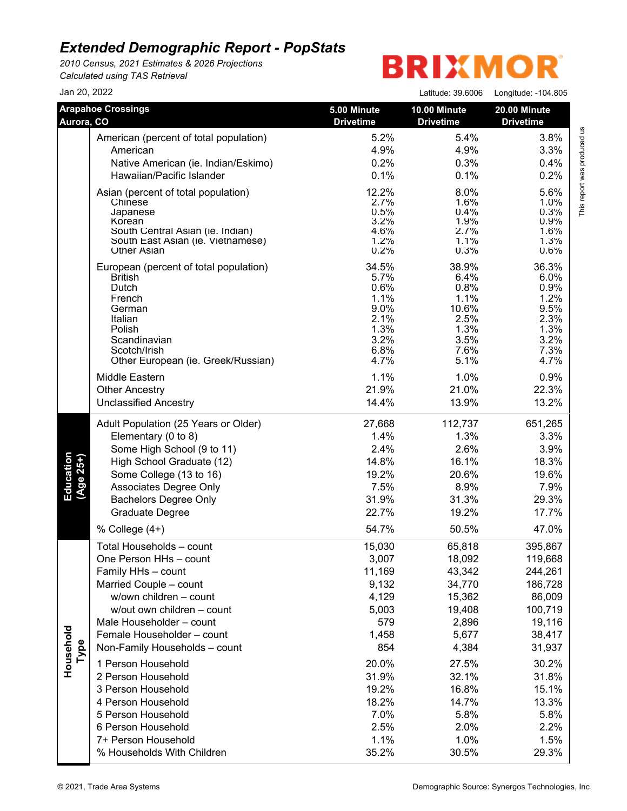*2010 Census, 2021 Estimates & 2026 Projections Calculated using TAS Retrieval*

| Jan 20, 2022           |                                                                       |                                 | Latitude: 39.6006                | Longitude: -104.805              |
|------------------------|-----------------------------------------------------------------------|---------------------------------|----------------------------------|----------------------------------|
| Aurora, CO             | <b>Arapahoe Crossings</b>                                             | 5.00 Minute<br><b>Drivetime</b> | 10.00 Minute<br><b>Drivetime</b> | 20.00 Minute<br><b>Drivetime</b> |
|                        | American (percent of total population)                                | 5.2%                            | 5.4%                             | 3.8%                             |
|                        | American                                                              | 4.9%                            | 4.9%                             | 3.3%                             |
|                        | Native American (ie. Indian/Eskimo)                                   | 0.2%                            | 0.3%                             | 0.4%                             |
|                        | Hawaiian/Pacific Islander                                             | 0.1%                            | 0.1%                             | 0.2%                             |
|                        | Asian (percent of total population)                                   | 12.2%                           | 8.0%                             | 5.6%                             |
|                        | Chinese                                                               | 2.7%                            | 1.6%                             | 1.0%                             |
|                        | Japanese                                                              | 0.5%                            | 0.4%                             | 0.3%                             |
|                        | Korean                                                                | 3.2%                            | 1.9%                             | 0.9%                             |
|                        | South Central Asian (ie. Indian)<br>South East Asian (ie. Vietnamese) | 4.6%<br>1.2%                    | 2.7%<br>1.1%                     | 1.6%<br>1.3%                     |
|                        | <b>Other Asian</b>                                                    | 0.2%                            | 0.3%                             | 0.6%                             |
|                        | European (percent of total population)                                | 34.5%                           | 38.9%                            | 36.3%                            |
|                        | <b>British</b>                                                        | 5.7%                            | 6.4%                             | 6.0%                             |
|                        | Dutch                                                                 | 0.6%                            | 0.8%                             | 0.9%                             |
|                        | French                                                                | 1.1%                            | 1.1%                             | 1.2%                             |
|                        | German<br>Italian                                                     | 9.0%<br>2.1%                    | 10.6%<br>2.5%                    | 9.5%<br>2.3%                     |
|                        | Polish                                                                | 1.3%                            | 1.3%                             | 1.3%                             |
|                        | Scandinavian                                                          | 3.2%                            | 3.5%                             | 3.2%                             |
|                        | Scotch/Irish                                                          | 6.8%                            | 7.6%                             | 7.3%                             |
|                        | Other European (ie. Greek/Russian)                                    | 4.7%                            | 5.1%                             | 4.7%                             |
|                        | Middle Eastern                                                        | 1.1%                            | 1.0%                             | 0.9%                             |
|                        | <b>Other Ancestry</b>                                                 | 21.9%                           | 21.0%                            | 22.3%                            |
|                        | <b>Unclassified Ancestry</b>                                          | 14.4%                           | 13.9%                            | 13.2%                            |
|                        | Adult Population (25 Years or Older)                                  | 27,668                          | 112,737                          | 651,265                          |
|                        | Elementary (0 to 8)                                                   | 1.4%                            | 1.3%                             | 3.3%                             |
|                        | Some High School (9 to 11)                                            | 2.4%                            | 2.6%                             | 3.9%                             |
|                        | High School Graduate (12)                                             | 14.8%                           | 16.1%                            | 18.3%                            |
|                        | Some College (13 to 16)                                               | 19.2%                           | 20.6%                            | 19.6%                            |
| Education<br>(Age 25+) | Associates Degree Only                                                | 7.5%                            | 8.9%                             | 7.9%                             |
|                        | <b>Bachelors Degree Only</b>                                          | 31.9%                           | 31.3%                            | 29.3%                            |
|                        | Graduate Degree                                                       | 22.7%                           | 19.2%                            | 17.7%                            |
|                        | % College (4+)                                                        | 54.7%                           | 50.5%                            | 47.0%                            |
|                        | Total Households - count                                              | 15,030                          | 65,818                           | 395,867                          |
|                        | One Person HHs - count                                                | 3,007                           | 18,092                           | 119,668                          |
|                        | Family HHs - count                                                    | 11,169                          | 43,342                           | 244,261                          |
|                        | Married Couple - count                                                | 9,132                           | 34,770                           | 186,728                          |
|                        | w/own children - count                                                | 4,129                           | 15,362                           | 86,009                           |
|                        | w/out own children - count                                            | 5,003                           | 19,408                           | 100,719                          |
|                        | Male Householder - count                                              | 579                             | 2,896                            | 19,116                           |
|                        | Female Householder - count                                            | 1,458                           | 5,677                            | 38,417                           |
| Type                   | Non-Family Households - count                                         | 854                             | 4,384                            | 31,937                           |
| Household              | 1 Person Household                                                    | 20.0%                           | 27.5%                            | 30.2%                            |
|                        | 2 Person Household                                                    | 31.9%                           | 32.1%                            | 31.8%                            |
|                        | 3 Person Household                                                    | 19.2%                           | 16.8%                            | 15.1%                            |
|                        | 4 Person Household                                                    | 18.2%                           | 14.7%                            | 13.3%                            |
|                        | 5 Person Household                                                    | 7.0%                            | 5.8%                             | 5.8%                             |
|                        | 6 Person Household                                                    | 2.5%                            | 2.0%                             | 2.2%                             |
|                        | 7+ Person Household                                                   | 1.1%                            | 1.0%                             | 1.5%                             |
|                        | % Households With Children                                            | 35.2%                           | 30.5%                            | 29.3%                            |
|                        |                                                                       |                                 |                                  |                                  |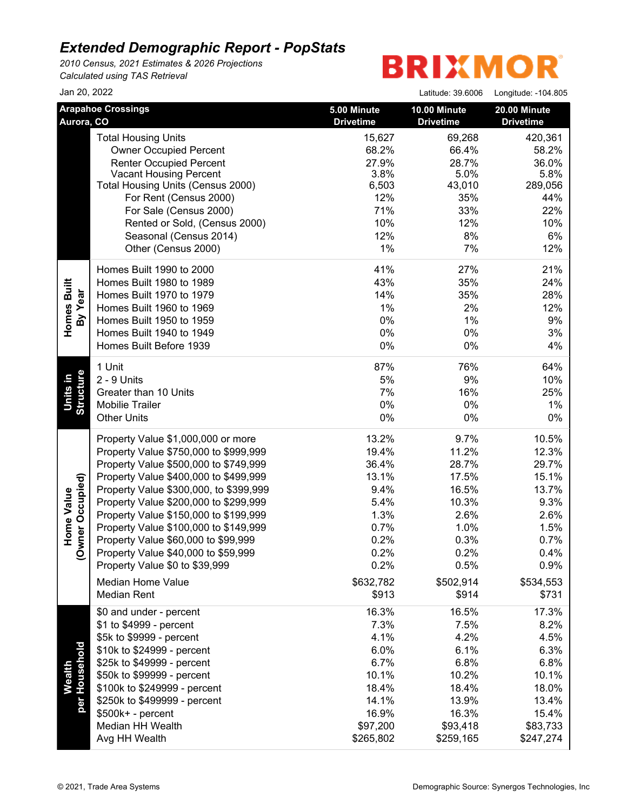*2010 Census, 2021 Estimates & 2026 Projections Calculated using TAS Retrieval*

| Jan 20, 2022                            |                                                                                                                                                                                                                                                                                                                                                                                                                                                    |                                                                                                                          | Latitude: 39.6006                                                                                                        | Longitude: -104.805                                                                                                      |
|-----------------------------------------|----------------------------------------------------------------------------------------------------------------------------------------------------------------------------------------------------------------------------------------------------------------------------------------------------------------------------------------------------------------------------------------------------------------------------------------------------|--------------------------------------------------------------------------------------------------------------------------|--------------------------------------------------------------------------------------------------------------------------|--------------------------------------------------------------------------------------------------------------------------|
| Aurora, CO                              | <b>Arapahoe Crossings</b>                                                                                                                                                                                                                                                                                                                                                                                                                          | 5.00 Minute<br><b>Drivetime</b>                                                                                          | 10.00 Minute<br><b>Drivetime</b>                                                                                         | 20.00 Minute<br><b>Drivetime</b>                                                                                         |
|                                         | <b>Total Housing Units</b><br><b>Owner Occupied Percent</b><br><b>Renter Occupied Percent</b><br><b>Vacant Housing Percent</b><br>Total Housing Units (Census 2000)<br>For Rent (Census 2000)<br>For Sale (Census 2000)<br>Rented or Sold, (Census 2000)<br>Seasonal (Census 2014)<br>Other (Census 2000)                                                                                                                                          | 15,627<br>68.2%<br>27.9%<br>3.8%<br>6,503<br>12%<br>71%<br>10%<br>12%<br>$1\%$                                           | 69,268<br>66.4%<br>28.7%<br>5.0%<br>43,010<br>35%<br>33%<br>12%<br>8%<br>7%                                              | 420,361<br>58.2%<br>36.0%<br>5.8%<br>289,056<br>44%<br>22%<br>10%<br>6%<br>12%                                           |
| Homes Built<br>By Year                  | Homes Built 1990 to 2000<br>Homes Built 1980 to 1989<br>Homes Built 1970 to 1979<br>Homes Built 1960 to 1969<br>Homes Built 1950 to 1959<br>Homes Built 1940 to 1949<br>Homes Built Before 1939                                                                                                                                                                                                                                                    | 41%<br>43%<br>14%<br>1%<br>0%<br>0%<br>0%                                                                                | 27%<br>35%<br>35%<br>2%<br>1%<br>0%<br>0%                                                                                | 21%<br>24%<br>28%<br>12%<br>9%<br>3%<br>4%                                                                               |
| <b>Units in</b><br>Structure            | 1 Unit<br>2 - 9 Units<br>Greater than 10 Units<br><b>Mobilie Trailer</b><br><b>Other Units</b>                                                                                                                                                                                                                                                                                                                                                     | 87%<br>5%<br>7%<br>0%<br>0%                                                                                              | 76%<br>9%<br>16%<br>0%<br>0%                                                                                             | 64%<br>10%<br>25%<br>$1\%$<br>$0\%$                                                                                      |
| mer Occupied)<br>Home Value<br>ģ        | Property Value \$1,000,000 or more<br>Property Value \$750,000 to \$999,999<br>Property Value \$500,000 to \$749,999<br>Property Value \$400,000 to \$499,999<br>Property Value \$300,000, to \$399,999<br>Property Value \$200,000 to \$299,999<br>Property Value \$150,000 to \$199,999<br>Property Value \$100,000 to \$149,999<br>Property Value \$60,000 to \$99,999<br>Property Value \$40,000 to \$59,999<br>Property Value \$0 to \$39,999 | 13.2%<br>19.4%<br>36.4%<br>13.1%<br>9.4%<br>5.4%<br>1.3%<br>0.7%<br>0.2%<br>0.2%<br>0.2%                                 | 9.7%<br>11.2%<br>28.7%<br>17.5%<br>16.5%<br>10.3%<br>2.6%<br>1.0%<br>0.3%<br>0.2%<br>0.5%                                | 10.5%<br>12.3%<br>29.7%<br>15.1%<br>13.7%<br>9.3%<br>2.6%<br>1.5%<br>0.7%<br>0.4%<br>0.9%                                |
| Wealth<br>Household<br>per <sup>1</sup> | <b>Median Home Value</b><br><b>Median Rent</b><br>\$0 and under - percent<br>\$1 to \$4999 - percent<br>\$5k to \$9999 - percent<br>\$10k to \$24999 - percent<br>\$25k to \$49999 - percent<br>\$50k to \$99999 - percent<br>\$100k to \$249999 - percent<br>\$250k to \$499999 - percent<br>\$500k+ - percent<br>Median HH Wealth<br>Avg HH Wealth                                                                                               | \$632,782<br>\$913<br>16.3%<br>7.3%<br>4.1%<br>6.0%<br>6.7%<br>10.1%<br>18.4%<br>14.1%<br>16.9%<br>\$97,200<br>\$265,802 | \$502,914<br>\$914<br>16.5%<br>7.5%<br>4.2%<br>6.1%<br>6.8%<br>10.2%<br>18.4%<br>13.9%<br>16.3%<br>\$93,418<br>\$259,165 | \$534,553<br>\$731<br>17.3%<br>8.2%<br>4.5%<br>6.3%<br>6.8%<br>10.1%<br>18.0%<br>13.4%<br>15.4%<br>\$83,733<br>\$247,274 |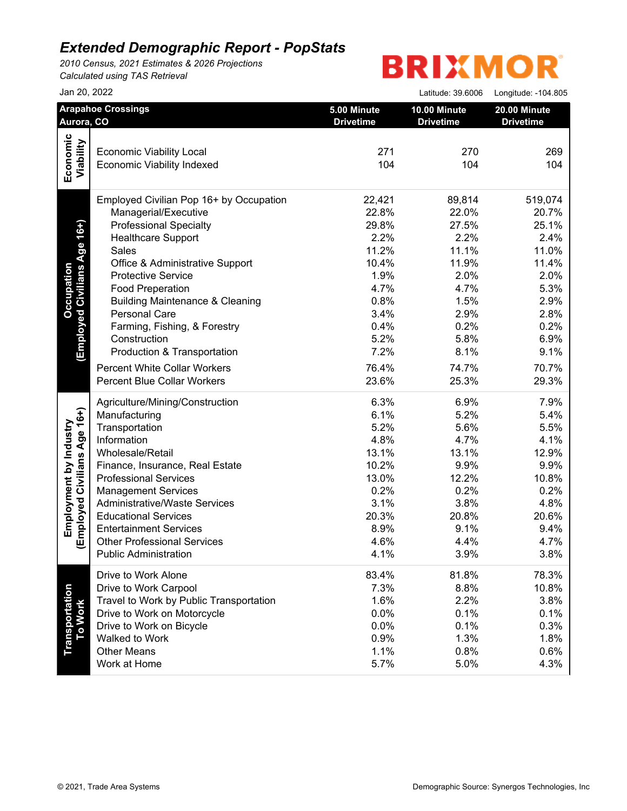*2010 Census, 2021 Estimates & 2026 Projections Calculated using TAS Retrieval*

| Jan 20, 2022                                                         |                                                                                                                                                                                                                                                                                                                                                                                                                                                                                                                                                                                                                                                      | Latitude: 39.6006                                                                                                          | Longitude: - 104.805                                                                                     |
|----------------------------------------------------------------------|------------------------------------------------------------------------------------------------------------------------------------------------------------------------------------------------------------------------------------------------------------------------------------------------------------------------------------------------------------------------------------------------------------------------------------------------------------------------------------------------------------------------------------------------------------------------------------------------------------------------------------------------------|----------------------------------------------------------------------------------------------------------------------------|----------------------------------------------------------------------------------------------------------|
| <b>Arapahoe Crossings</b><br>Aurora, CO                              | 5.00 Minute<br><b>Drivetime</b>                                                                                                                                                                                                                                                                                                                                                                                                                                                                                                                                                                                                                      | 10.00 Minute<br><b>Drivetime</b>                                                                                           | 20.00 Minute<br><b>Drivetime</b>                                                                         |
|                                                                      |                                                                                                                                                                                                                                                                                                                                                                                                                                                                                                                                                                                                                                                      |                                                                                                                            |                                                                                                          |
| <b>Economic Viability Local</b><br><b>Economic Viability Indexed</b> | 271<br>104                                                                                                                                                                                                                                                                                                                                                                                                                                                                                                                                                                                                                                           | 270<br>104                                                                                                                 | 269<br>104                                                                                               |
|                                                                      |                                                                                                                                                                                                                                                                                                                                                                                                                                                                                                                                                                                                                                                      |                                                                                                                            | 519,074                                                                                                  |
| Managerial/Executive                                                 | 22.8%                                                                                                                                                                                                                                                                                                                                                                                                                                                                                                                                                                                                                                                | 22.0%                                                                                                                      | 20.7%                                                                                                    |
|                                                                      | 29.8%                                                                                                                                                                                                                                                                                                                                                                                                                                                                                                                                                                                                                                                | 27.5%                                                                                                                      | 25.1%                                                                                                    |
| <b>Healthcare Support</b>                                            | 2.2%                                                                                                                                                                                                                                                                                                                                                                                                                                                                                                                                                                                                                                                 | 2.2%                                                                                                                       | 2.4%                                                                                                     |
| Sales                                                                | 11.2%                                                                                                                                                                                                                                                                                                                                                                                                                                                                                                                                                                                                                                                | 11.1%                                                                                                                      | 11.0%                                                                                                    |
| Office & Administrative Support                                      | 10.4%                                                                                                                                                                                                                                                                                                                                                                                                                                                                                                                                                                                                                                                | 11.9%                                                                                                                      | 11.4%                                                                                                    |
| <b>Protective Service</b>                                            | 1.9%                                                                                                                                                                                                                                                                                                                                                                                                                                                                                                                                                                                                                                                 | 2.0%                                                                                                                       | 2.0%                                                                                                     |
|                                                                      | 4.7%                                                                                                                                                                                                                                                                                                                                                                                                                                                                                                                                                                                                                                                 | 4.7%                                                                                                                       | 5.3%                                                                                                     |
|                                                                      | 0.8%                                                                                                                                                                                                                                                                                                                                                                                                                                                                                                                                                                                                                                                 | 1.5%                                                                                                                       | 2.9%                                                                                                     |
| Personal Care                                                        | 3.4%                                                                                                                                                                                                                                                                                                                                                                                                                                                                                                                                                                                                                                                 | 2.9%                                                                                                                       | 2.8%                                                                                                     |
|                                                                      | 0.4%                                                                                                                                                                                                                                                                                                                                                                                                                                                                                                                                                                                                                                                 | 0.2%                                                                                                                       | 0.2%                                                                                                     |
| Construction                                                         |                                                                                                                                                                                                                                                                                                                                                                                                                                                                                                                                                                                                                                                      | 5.8%                                                                                                                       | 6.9%                                                                                                     |
|                                                                      | 7.2%                                                                                                                                                                                                                                                                                                                                                                                                                                                                                                                                                                                                                                                 | 8.1%                                                                                                                       | 9.1%                                                                                                     |
|                                                                      |                                                                                                                                                                                                                                                                                                                                                                                                                                                                                                                                                                                                                                                      |                                                                                                                            | 70.7%                                                                                                    |
| <b>Percent Blue Collar Workers</b>                                   | 23.6%                                                                                                                                                                                                                                                                                                                                                                                                                                                                                                                                                                                                                                                | 25.3%                                                                                                                      | 29.3%                                                                                                    |
|                                                                      | 6.3%                                                                                                                                                                                                                                                                                                                                                                                                                                                                                                                                                                                                                                                 | 6.9%                                                                                                                       | 7.9%                                                                                                     |
| Manufacturing                                                        | 6.1%                                                                                                                                                                                                                                                                                                                                                                                                                                                                                                                                                                                                                                                 | 5.2%                                                                                                                       | 5.4%                                                                                                     |
| Transportation                                                       | 5.2%                                                                                                                                                                                                                                                                                                                                                                                                                                                                                                                                                                                                                                                 | 5.6%                                                                                                                       | 5.5%                                                                                                     |
| Information                                                          | 4.8%                                                                                                                                                                                                                                                                                                                                                                                                                                                                                                                                                                                                                                                 | 4.7%                                                                                                                       | 4.1%                                                                                                     |
| Wholesale/Retail                                                     | 13.1%                                                                                                                                                                                                                                                                                                                                                                                                                                                                                                                                                                                                                                                | 13.1%                                                                                                                      | 12.9%                                                                                                    |
|                                                                      |                                                                                                                                                                                                                                                                                                                                                                                                                                                                                                                                                                                                                                                      |                                                                                                                            | 9.9%                                                                                                     |
| <b>Professional Services</b>                                         |                                                                                                                                                                                                                                                                                                                                                                                                                                                                                                                                                                                                                                                      | 12.2%                                                                                                                      | 10.8%                                                                                                    |
|                                                                      | 0.2%                                                                                                                                                                                                                                                                                                                                                                                                                                                                                                                                                                                                                                                 | 0.2%                                                                                                                       | 0.2%                                                                                                     |
|                                                                      |                                                                                                                                                                                                                                                                                                                                                                                                                                                                                                                                                                                                                                                      |                                                                                                                            | 4.8%                                                                                                     |
|                                                                      |                                                                                                                                                                                                                                                                                                                                                                                                                                                                                                                                                                                                                                                      |                                                                                                                            | 20.6%                                                                                                    |
|                                                                      |                                                                                                                                                                                                                                                                                                                                                                                                                                                                                                                                                                                                                                                      |                                                                                                                            | 9.4%                                                                                                     |
|                                                                      |                                                                                                                                                                                                                                                                                                                                                                                                                                                                                                                                                                                                                                                      |                                                                                                                            | 4.7%                                                                                                     |
| <b>Public Administration</b>                                         | 4.1%                                                                                                                                                                                                                                                                                                                                                                                                                                                                                                                                                                                                                                                 | 3.9%                                                                                                                       | 3.8%                                                                                                     |
| Drive to Work Alone                                                  | 83.4%                                                                                                                                                                                                                                                                                                                                                                                                                                                                                                                                                                                                                                                | 81.8%                                                                                                                      | 78.3%                                                                                                    |
|                                                                      |                                                                                                                                                                                                                                                                                                                                                                                                                                                                                                                                                                                                                                                      |                                                                                                                            | 10.8%                                                                                                    |
|                                                                      |                                                                                                                                                                                                                                                                                                                                                                                                                                                                                                                                                                                                                                                      |                                                                                                                            | 3.8%                                                                                                     |
|                                                                      |                                                                                                                                                                                                                                                                                                                                                                                                                                                                                                                                                                                                                                                      |                                                                                                                            | 0.1%                                                                                                     |
| Drive to Work on Bicycle                                             |                                                                                                                                                                                                                                                                                                                                                                                                                                                                                                                                                                                                                                                      |                                                                                                                            | 0.3%                                                                                                     |
|                                                                      |                                                                                                                                                                                                                                                                                                                                                                                                                                                                                                                                                                                                                                                      |                                                                                                                            | 1.8%                                                                                                     |
|                                                                      |                                                                                                                                                                                                                                                                                                                                                                                                                                                                                                                                                                                                                                                      |                                                                                                                            | 0.6%                                                                                                     |
| Work at Home                                                         | 5.7%                                                                                                                                                                                                                                                                                                                                                                                                                                                                                                                                                                                                                                                 | 5.0%                                                                                                                       | 4.3%                                                                                                     |
|                                                                      | Employed Civilian Pop 16+ by Occupation<br><b>Professional Specialty</b><br><b>Food Preperation</b><br><b>Building Maintenance &amp; Cleaning</b><br>Farming, Fishing, & Forestry<br>Production & Transportation<br><b>Percent White Collar Workers</b><br>Agriculture/Mining/Construction<br>Finance, Insurance, Real Estate<br><b>Management Services</b><br><b>Administrative/Waste Services</b><br><b>Educational Services</b><br><b>Entertainment Services</b><br><b>Other Professional Services</b><br>Drive to Work Carpool<br>Travel to Work by Public Transportation<br>Drive to Work on Motorcycle<br>Walked to Work<br><b>Other Means</b> | 22,421<br>5.2%<br>76.4%<br>10.2%<br>13.0%<br>3.1%<br>20.3%<br>8.9%<br>4.6%<br>7.3%<br>1.6%<br>0.0%<br>0.0%<br>0.9%<br>1.1% | 89,814<br>74.7%<br>9.9%<br>3.8%<br>20.8%<br>9.1%<br>4.4%<br>8.8%<br>2.2%<br>0.1%<br>0.1%<br>1.3%<br>0.8% |